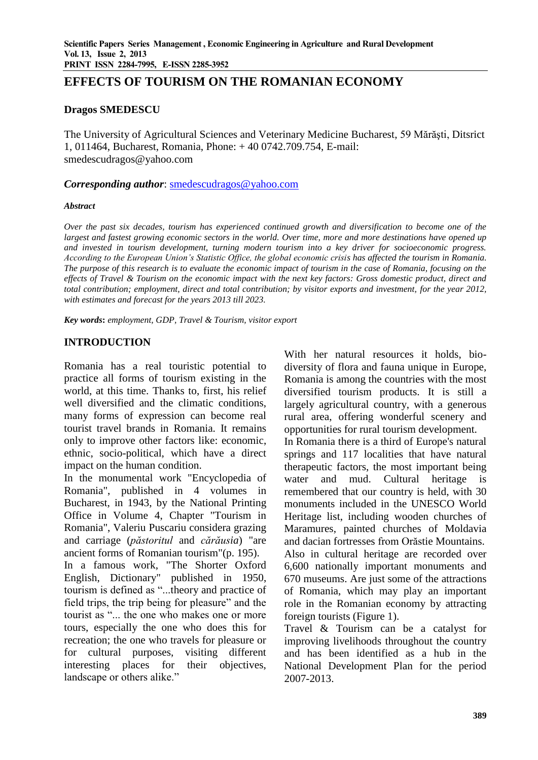# **EFFECTS OF TOURISM ON THE ROMANIAN ECONOMY**

#### **Dragos SMEDESCU**

The University of Agricultural Sciences and Veterinary Medicine Bucharest, 59 Mărăşti, Ditsrict 1, 011464, Bucharest, Romania, Phone: + 40 0742.709.754, E-mail: smedescudragos@yahoo.com

#### *Corresponding author*: [smedescudragos@yahoo.com](mailto:smedescudragos@yahoo.com)

#### *Abstract*

*Over the past six decades, tourism has experienced continued growth and diversification to become one of the largest and fastest growing economic sectors in the world. Over time, more and more destinations have opened up and invested in tourism development, turning modern tourism into a key driver for socioeconomic progress. According to the European Union's Statistic Office, the global economic crisis has affected the tourism in Romania. The purpose of this research is to evaluate the economic impact of tourism in the case of Romania, focusing on the effects of Travel & Tourism on the economic impact with the next key factors: Gross domestic product, direct and total contribution; employment, direct and total contribution; by visitor exports and investment, for the year 2012, with estimates and forecast for the years 2013 till 2023.*

*Key words***:** *employment, GDP, Travel & Tourism, visitor export*

## **INTRODUCTION**

Romania has a real touristic potential to practice all forms of tourism existing in the world, at this time. Thanks to, first, his relief well diversified and the climatic conditions, many forms of expression can become real tourist travel brands in Romania. It remains only to improve other factors like: economic, ethnic, socio-political, which have a direct impact on the human condition.

In the monumental work "Encyclopedia of Romania", published in 4 volumes in Bucharest, in 1943, by the National Printing Office in Volume 4, Chapter "Tourism in Romania", Valeriu Puscariu considera grazing and carriage (*păstoritul* and *cărăusia*) "are ancient forms of Romanian tourism"(p. 195). In a famous work, "The Shorter Oxford English, Dictionary" published in 1950, tourism is defined as "...theory and practice of field trips, the trip being for pleasure" and the tourist as "... the one who makes one or more tours, especially the one who does this for recreation; the one who travels for pleasure or for cultural purposes, visiting different interesting places for their objectives, landscape or others alike."

With her natural resources it holds, biodiversity of flora and fauna unique in Europe, Romania is among the countries with the most diversified tourism products. It is still a largely agricultural country, with a generous rural area, offering wonderful scenery and opportunities for rural tourism development.

In Romania there is a third of Europe's natural springs and 117 localities that have natural therapeutic factors, the most important being water and mud. Cultural heritage is remembered that our country is held, with 30 monuments included in the UNESCO World Heritage list, including wooden churches of Maramures, painted churches of Moldavia and dacian fortresses from Orăstie Mountains. Also in cultural heritage are recorded over 6,600 nationally important monuments and 670 museums. Are just some of the attractions of Romania, which may play an important role in the Romanian economy by attracting foreign tourists (Figure 1).

Travel & Tourism can be a catalyst for improving livelihoods throughout the country and has been identified as a hub in the National Development Plan for the period 2007-2013.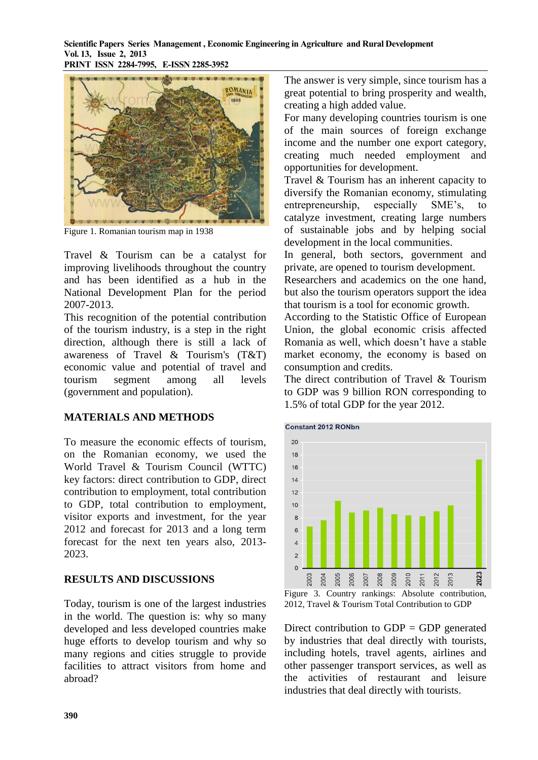

Figure 1. Romanian tourism map in 1938

Travel & Tourism can be a catalyst for improving livelihoods throughout the country and has been identified as a hub in the National Development Plan for the period 2007-2013.

This recognition of the potential contribution of the tourism industry, is a step in the right direction, although there is still a lack of awareness of Travel & Tourism's (T&T) economic value and potential of travel and tourism segment among all levels (government and population).

## **MATERIALS AND METHODS**

To measure the economic effects of tourism, on the Romanian economy, we used the World Travel & Tourism Council (WTTC) key factors: direct contribution to GDP, direct contribution to employment, total contribution to GDP, total contribution to employment, visitor exports and investment, for the year 2012 and forecast for 2013 and a long term forecast for the next ten years also, 2013- 2023.

## **RESULTS AND DISCUSSIONS**

Today, tourism is one of the largest industries in the world. The question is: why so many developed and less developed countries make huge efforts to develop tourism and why so many regions and cities struggle to provide facilities to attract visitors from home and abroad?

The answer is very simple, since tourism has a great potential to bring prosperity and wealth, creating a high added value.

For many developing countries tourism is one of the main sources of foreign exchange income and the number one export category, creating much needed employment and opportunities for development.

Travel & Tourism has an inherent capacity to diversify the Romanian economy, stimulating entrepreneurship, especially SME's, to catalyze investment, creating large numbers of sustainable jobs and by helping social development in the local communities.

In general, both sectors, government and private, are opened to tourism development.

Researchers and academics on the one hand, but also the tourism operators support the idea that tourism is a tool for economic growth.

According to the Statistic Office of European Union, the global economic crisis affected Romania as well, which doesn't have a stable market economy, the economy is based on consumption and credits.

The direct contribution of Travel & Tourism to GDP was 9 billion RON corresponding to 1.5% of total GDP for the year 2012.



Figure 3. Country rankings: Absolute contribution, 2012, Travel & Tourism Total Contribution to GDP

Direct contribution to  $GDP = GDP$  generated by industries that deal directly with tourists, including hotels, travel agents, airlines and other passenger transport services, as well as the activities of restaurant and leisure industries that deal directly with tourists.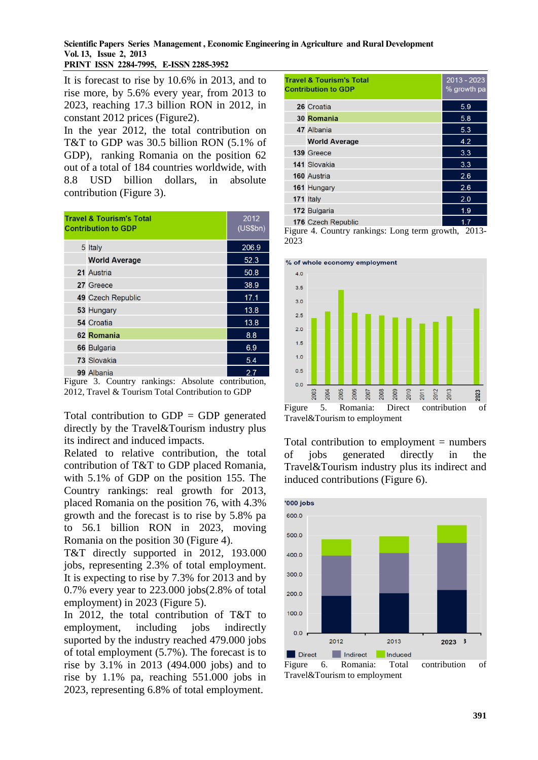#### **Scientific Papers Series Management , Economic Engineering in Agriculture and Rural Development Vol. 13, Issue 2, 2013 PRINT ISSN 2284-7995, E-ISSN 2285-3952**

It is forecast to rise by 10.6% in 2013, and to rise more, by 5.6% every year, from 2013 to 2023, reaching 17.3 billion RON in 2012, in constant 2012 prices (Figure2).

In the year 2012, the total contribution on T&T to GDP was 30.5 billion RON (5.1% of GDP), ranking Romania on the position 62 out of a total of 184 countries worldwide, with 8.8 USD billion dollars, in absolute contribution (Figure 3).

| <b>Travel &amp; Tourism's Total</b><br><b>Contribution to GDP</b> |                      | 2012<br>(US\$bh) |
|-------------------------------------------------------------------|----------------------|------------------|
|                                                                   | 5 Italy              | 206.9            |
|                                                                   | <b>World Average</b> | 52.3             |
|                                                                   | 21 Austria           | 50.8             |
|                                                                   | 27 Greece            | 38.9             |
|                                                                   | 49 Czech Republic    | 17.1             |
|                                                                   | 53 Hungary           | 13.8             |
|                                                                   | 54 Croatia           | 13.8             |
|                                                                   | 62 Romania           | 8.8              |
|                                                                   | 66 Bulgaria          | 6.9              |
|                                                                   | <b>73 Slovakia</b>   | 5.4              |
|                                                                   | 99 Albania           | 2.7              |

Figure 3. Country rankings: Absolute contribution, 2012, Travel & Tourism Total Contribution to GDP

Total contribution to  $GDP = GDP$  generated directly by the Travel&Tourism industry plus its indirect and induced impacts.

Related to relative contribution, the total contribution of T&T to GDP placed Romania, with 5.1% of GDP on the position 155. The Country rankings: real growth for 2013, placed Romania on the position 76, with 4.3% growth and the forecast is to rise by 5.8% pa to 56.1 billion RON in 2023, moving Romania on the position 30 (Figure 4).

T&T directly supported in 2012, 193.000 jobs, representing 2.3% of total employment. It is expecting to rise by 7.3% for 2013 and by 0.7% every year to 223.000 jobs(2.8% of total employment) in 2023 (Figure 5).

In 2012, the total contribution of T&T to employment, including jobs indirectly suported by the industry reached 479.000 jobs of total employment (5.7%). The forecast is to rise by 3.1% in 2013 (494.000 jobs) and to rise by 1.1% pa, reaching 551.000 jobs in 2023, representing 6.8% of total employment.

| <b>Travel &amp; Tourism's Total</b><br><b>Contribution to GDP</b> |                      | $2013 - 2023$<br>% growth pa |
|-------------------------------------------------------------------|----------------------|------------------------------|
|                                                                   | 26 Croatia           | 5.9                          |
|                                                                   | 30 Romania           | 5.8                          |
|                                                                   | 47 Albania           | 5.3                          |
|                                                                   | <b>World Average</b> | 4.2                          |
|                                                                   | 139 Greece           | 3.3                          |
|                                                                   | 141 Slovakia         | 3.3                          |
|                                                                   | <b>160 Austria</b>   | 2.6                          |
|                                                                   | 161 Hungary          | 2.6                          |
|                                                                   | 171 Italy            | 2.0                          |
|                                                                   | 172 Bulgaria         | 1.9                          |
|                                                                   | 176 Czech Republic   | 17                           |

Figure 4. Country rankings: Long term growth, 2013- 2023



Total contribution to employment  $=$  numbers

of jobs generated directly in the Travel&Tourism industry plus its indirect and induced contributions (Figure 6).



Figure 6. Romania: Total contribution of Travel&Tourism to employment